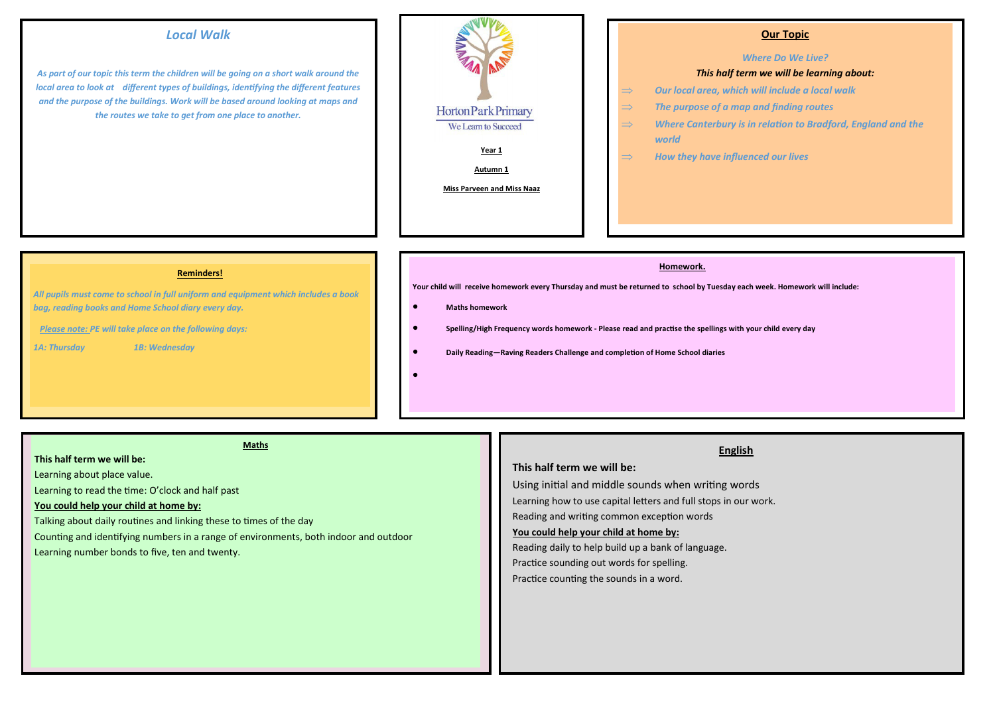# *Local Walk*

*As part of our topic this term the children will be going on a short walk around the local area to look at different types of buildings, identifying the different features and the purpose of the buildings. Work will be based around looking at maps and the routes we take to get from one place to another.*



## **Our Topic**

#### *Where Do We Live?*

#### *This half term we will be learning about:*

- *Our local area, which will include a local walk*
- *The purpose of a map and finding routes*
- *Where Canterbury is in relation to Bradford, England and the world*
- $\Rightarrow$  How they have influenced our lives

#### **Reminders!**

*All pupils must come to school in full uniform and equipment which includes a book bag, reading books and Home School diary every day.* 

 *Please note: PE will take place on the following days:*

*1A: Thursday 1B: Wednesday*

#### **Homework.**

**Your child will receive homework every Thursday and must be returned to school by Tuesday each week. Homework will include:** 

#### **Maths homework**

 $\bullet$ 

- **Spelling/High Frequency words homework - Please read and practise the spellings with your child every day** 
	- **Daily Reading—Raving Readers Challenge and completion of Home School diaries**

#### **Maths**

## **This half term we will be:**

Learning about place value.

Learning to read the time: O'clock and half past

### **You could help your child at home by:**

Talking about daily routines and linking these to times of the day

Counting and identifying numbers in a range of environments, both indoor and outdoor

Learning number bonds to five, ten and twenty.

# **English**

## **This half term we will be:**

Using initial and middle sounds when writing words Learning how to use capital letters and full stops in our work. Reading and writing common exception words

# **You could help your child at home by:**

Reading daily to help build up a bank of language. Practice sounding out words for spelling.

# Practice counting the sounds in a word.